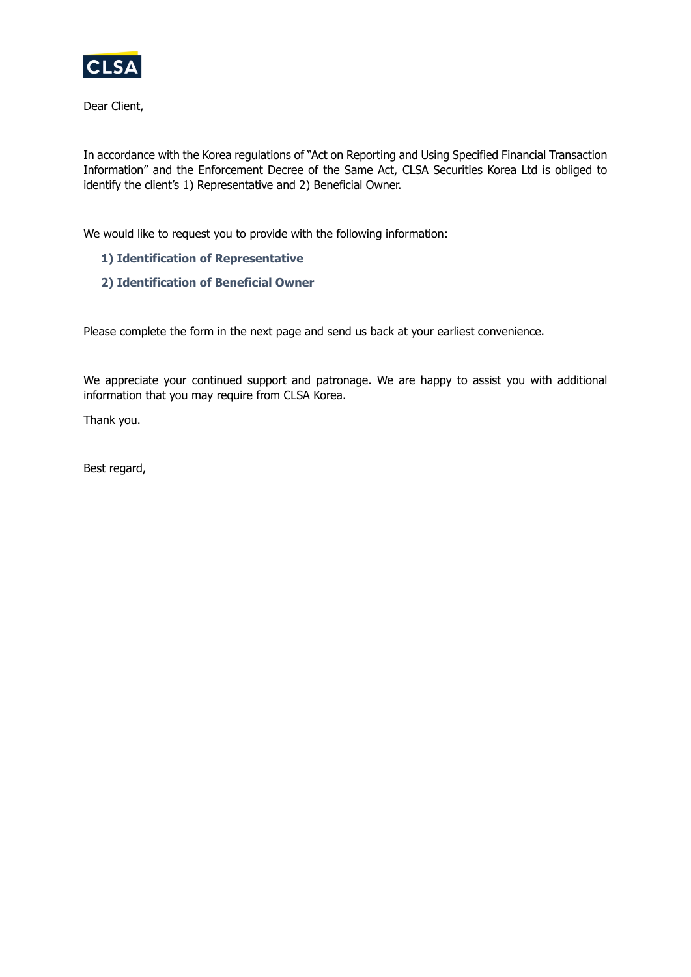

Dear Client,

In accordance with the Korea regulations of "Act on Reporting and Using Specified Financial Transaction Information" and the Enforcement Decree of the Same Act, CLSA Securities Korea Ltd is obliged to identify the client's 1) Representative and 2) Beneficial Owner.

We would like to request you to provide with the following information:

- **1) Identification of Representative**
- **2) Identification of Beneficial Owner**

Please complete the form in the next page and send us back at your earliest convenience.

We appreciate your continued support and patronage. We are happy to assist you with additional information that you may require from CLSA Korea.

Thank you.

Best regard,